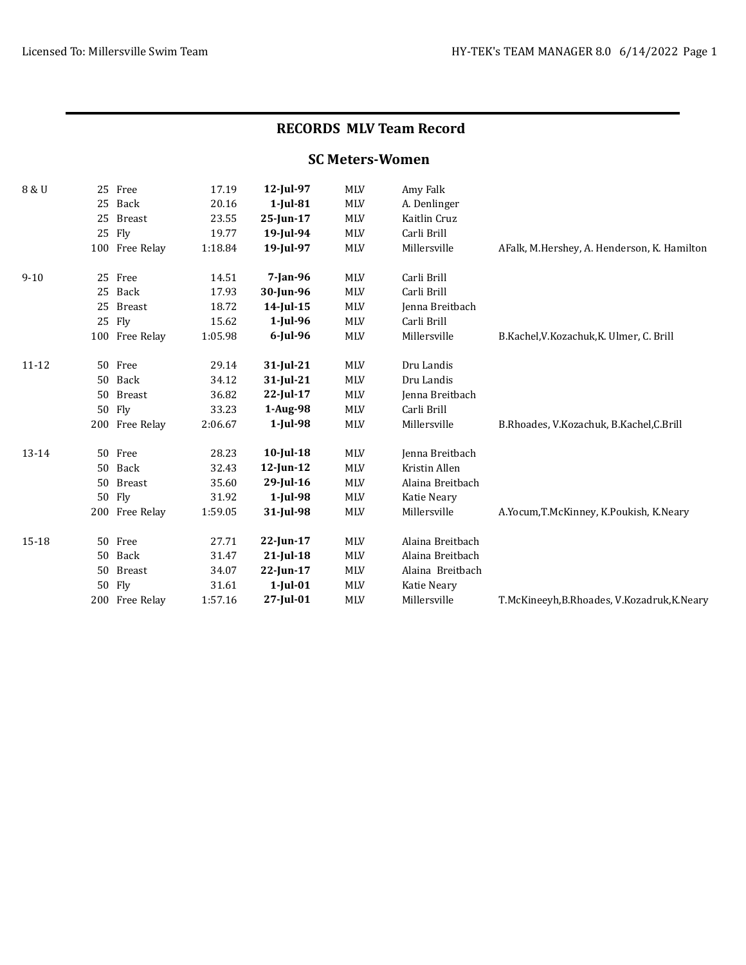## RECORDS MLV Team Record

## SC Meters-Women

| 8 & U     |    | 25 Free        | 17.19   | 12-Jul-97    | <b>MLV</b> | Amy Falk         |                                             |
|-----------|----|----------------|---------|--------------|------------|------------------|---------------------------------------------|
|           |    | 25 Back        | 20.16   | $1$ -Jul-81  | MLV        | A. Denlinger     |                                             |
|           | 25 | <b>Breast</b>  | 23.55   | $25$ -Jun-17 | <b>MLV</b> | Kaitlin Cruz     |                                             |
|           |    | 25 Fly         | 19.77   | 19-Jul-94    | MLV        | Carli Brill      |                                             |
|           |    | 100 Free Relay | 1:18.84 | 19-Jul-97    | <b>MLV</b> | Millersville     | AFalk, M.Hershey, A. Henderson, K. Hamilton |
| $9 - 10$  |    | 25 Free        | 14.51   | $7$ -Jan-96  | <b>MLV</b> | Carli Brill      |                                             |
|           |    | 25 Back        | 17.93   | 30-Jun-96    | <b>MLV</b> | Carli Brill      |                                             |
|           |    | 25 Breast      | 18.72   | 14-Jul-15    | <b>MLV</b> | Jenna Breitbach  |                                             |
|           |    | 25 Fly         | 15.62   | $1$ -Jul-96  | <b>MLV</b> | Carli Brill      |                                             |
|           |    | 100 Free Relay | 1:05.98 | $6$ -Jul-96  | <b>MLV</b> | Millersville     | B.Kachel, V.Kozachuk, K. Ulmer, C. Brill    |
| $11 - 12$ |    | 50 Free        | 29.14   | $31$ -Jul-21 | <b>MLV</b> | Dru Landis       |                                             |
|           | 50 | Back           | 34.12   | $31$ -Jul-21 | <b>MLV</b> | Dru Landis       |                                             |
|           |    | 50 Breast      | 36.82   | $22$ -Jul-17 | <b>MLV</b> | Jenna Breitbach  |                                             |
|           |    | 50 Fly         | 33.23   | $1-Aug-98$   | <b>MLV</b> | Carli Brill      |                                             |
|           |    | 200 Free Relay | 2:06.67 | $1$ -Jul-98  | <b>MLV</b> | Millersville     | B.Rhoades, V.Kozachuk, B.Kachel, C.Brill    |
| 13-14     |    | 50 Free        | 28.23   | $10$ -Jul-18 | MLV        | Jenna Breitbach  |                                             |
|           |    | 50 Back        | 32.43   | $12$ -Jun-12 | <b>MLV</b> | Kristin Allen    |                                             |
|           | 50 | <b>Breast</b>  | 35.60   | $29$ -Jul-16 | <b>MLV</b> | Alaina Breitbach |                                             |
|           |    | 50 Fly         | 31.92   | $1$ -Jul-98  | MLV        | Katie Neary      |                                             |
|           |    | 200 Free Relay | 1:59.05 | 31-Jul-98    | <b>MLV</b> | Millersville     | A.Yocum, T.McKinney, K.Poukish, K.Neary     |
| 15-18     |    | 50 Free        | 27.71   | $22$ -Jun-17 | <b>MLV</b> | Alaina Breitbach |                                             |
|           |    | 50 Back        | 31.47   | $21$ -Jul-18 | <b>MLV</b> | Alaina Breitbach |                                             |
|           | 50 | <b>Breast</b>  | 34.07   | $22$ -Jun-17 | <b>MLV</b> | Alaina Breitbach |                                             |
|           |    | 50 Fly         | 31.61   | $1$ -Jul-01  | MLV        | Katie Neary      |                                             |
|           |    | 200 Free Relay | 1:57.16 | 27-Jul-01    | <b>MLV</b> | Millersville     | T.McKineeyh, B.Rhoades, V.Kozadruk, K.Neary |
|           |    |                |         |              |            |                  |                                             |